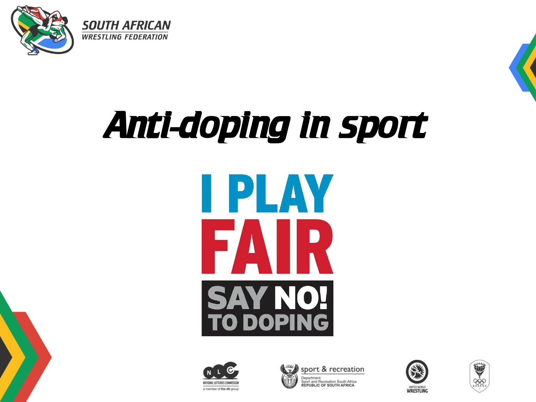





# Anti-doping in sport**IPLAY** FAIR **SAY NO!<br>TO DOPING**







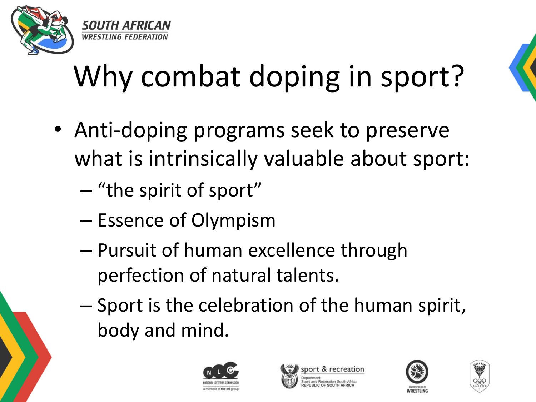

### Why combat doping in sport?

- Anti-doping programs seek to preserve what is intrinsically valuable about sport:
	- "the spirit of sport"
	- Essence of Olympism
	- Pursuit of human excellence through perfection of natural talents.
	- Sport is the celebration of the human spirit, body and mind.







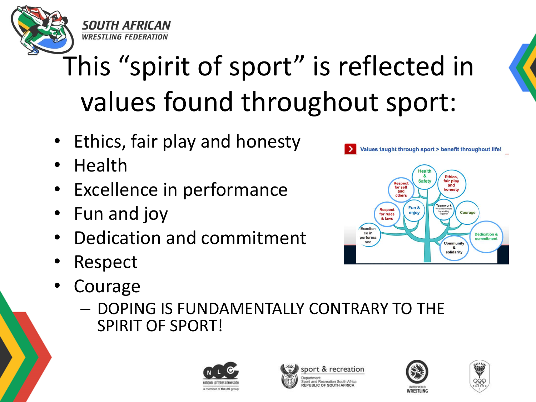

#### This "spirit of sport" is reflected in values found throughout sport:

- Ethics, fair play and honesty
- Health
- **Excellence in performance**
- Fun and joy
- Dedication and commitment
- Respect
- **Courage** 
	- DOPING IS FUNDAMENTALLY CONTRARY TO THE SPIRIT OF SPORT!









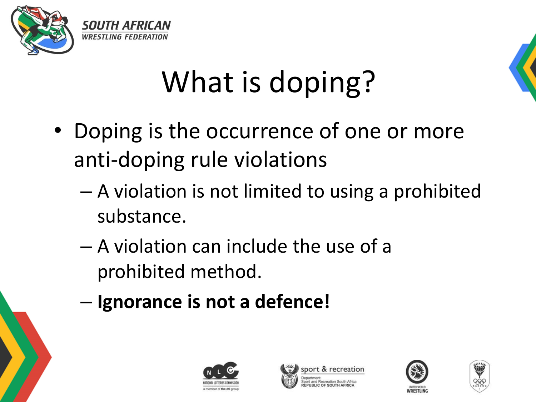



### What is doping?

- Doping is the occurrence of one or more anti-doping rule violations
	- A violation is not limited to using a prohibited substance.
	- A violation can include the use of a prohibited method.
	- **Ignorance is not a defence!**







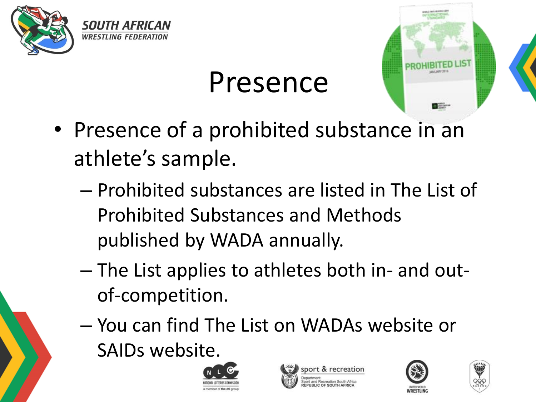

#### Presence

- Presence of a prohibited substance in an athlete's sample.
	- Prohibited substances are listed in The List of Prohibited Substances and Methods published by WADA annually.
	- The List applies to athletes both in- and outof-competition.
	- You can find The List on WADAs website or SAIDs website.







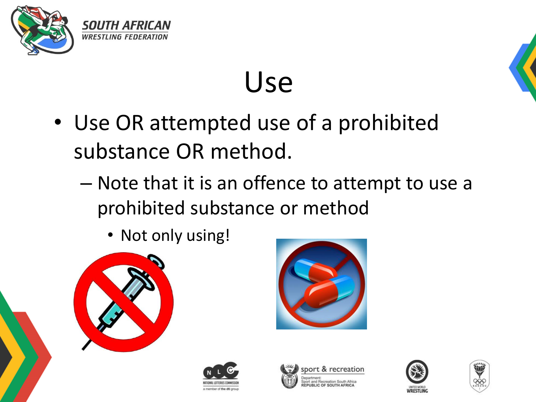

#### Use

- Use OR attempted use of a prohibited substance OR method.
	- Note that it is an offence to attempt to use a prohibited substance or method
		- Not only using!













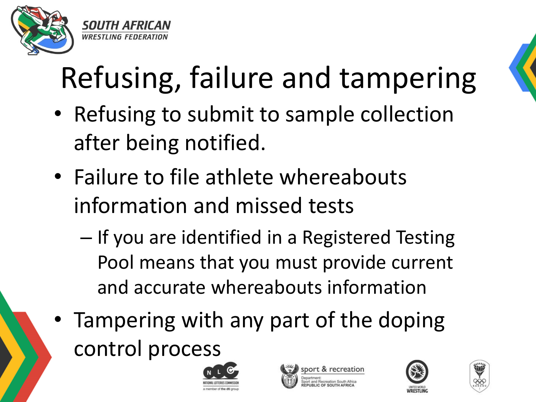

## Refusing, failure and tampering

- Refusing to submit to sample collection after being notified.
- Failure to file athlete whereabouts information and missed tests
	- If you are identified in a Registered Testing Pool means that you must provide current and accurate whereabouts information
- Tampering with any part of the doping control process







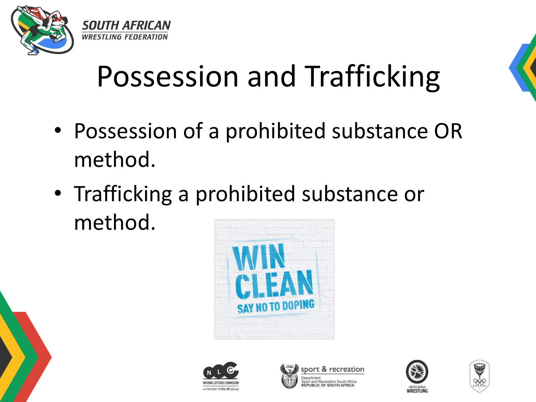

#### Possession and Trafficking

- Possession of a prohibited substance OR method.
- Trafficking a prohibited substance or method.











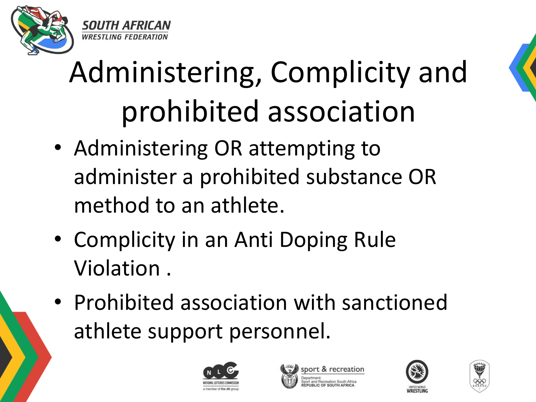



### Administering, Complicity and prohibited association

- Administering OR attempting to administer a prohibited substance OR method to an athlete.
- Complicity in an Anti Doping Rule Violation .
- Prohibited association with sanctioned athlete support personnel.







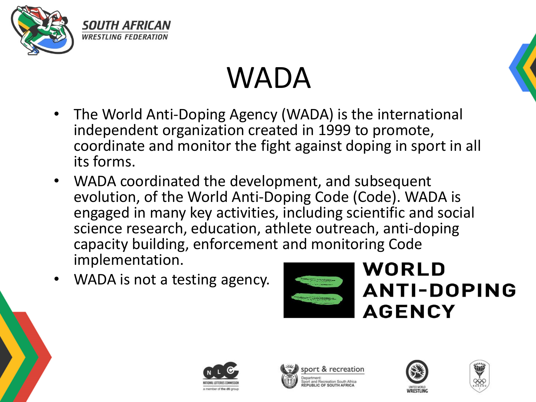





- The World Anti-Doping Agency (WADA) is the international independent organization created in 1999 to promote, coordinate and monitor the fight against doping in sport in all its forms.
- WADA coordinated the development, and subsequent evolution, of the World Anti-Doping Code (Code). WADA is engaged in many key activities, including scientific and social science research, education, athlete outreach, anti-doping capacity building, enforcement and monitoring Code implementation.
- WADA is not a testing agency.



#### **WORLD ANTI-DOPING AGENCY**







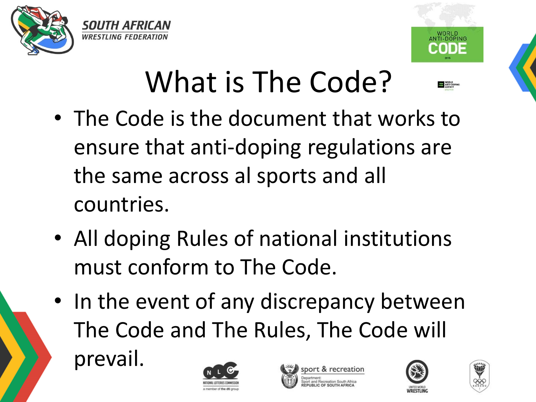



#### What is The Code?

- The Code is the document that works to ensure that anti-doping regulations are the same across al sports and all countries.
- All doping Rules of national institutions must conform to The Code.
- In the event of any discrepancy between The Code and The Rules, The Code will prevail.







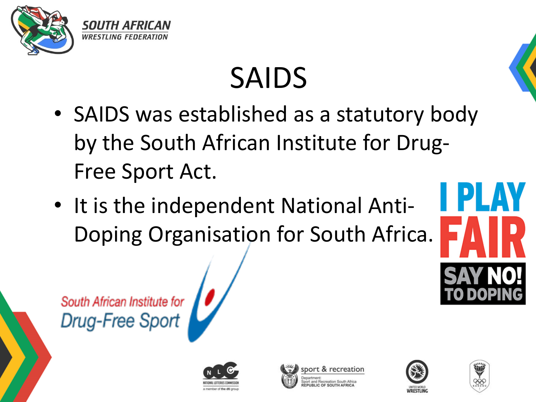

### SAIDS

- SAIDS was established as a statutory body by the South African Institute for Drug-Free Sport Act.
- It is the independent National Anti-Doping Organisation for South Africa.



South African Institute for<br>Drug-Free Sport







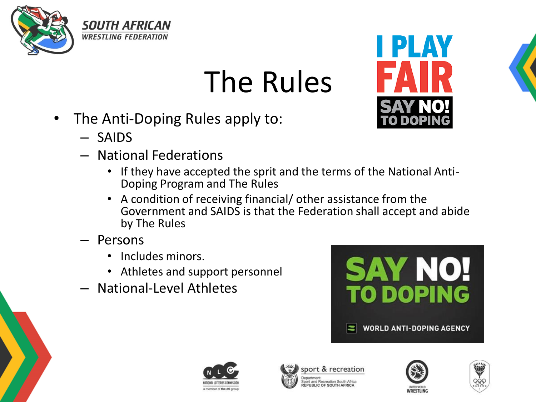

#### The Rules

• The Anti-Doping Rules apply to:

- SAIDS
- National Federations
	- If they have accepted the sprit and the terms of the National Anti-Doping Program and The Rules
	- A condition of receiving financial/ other assistance from the Government and SAIDS is that the Federation shall accept and abide by The Rules
- Persons
	- Includes minors.
	- Athletes and support personnel
- National-Level Athletes







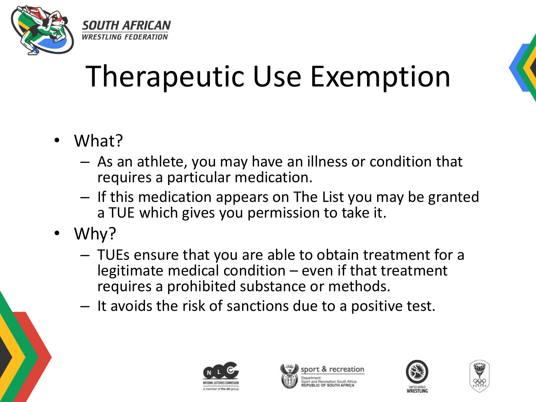

#### Therapeutic Use Exemption



- What?
	- As an athlete, you may have an illness or condition that requires a particular medication.
	- If this medication appears on The List you may be granted a TUE which gives you permission to take it.
- Why?
	- TUEs ensure that you are able to obtain treatment for a legitimate medical condition – even if that treatment requires a prohibited substance or methods.
	- It avoids the risk of sanctions due to a positive test.







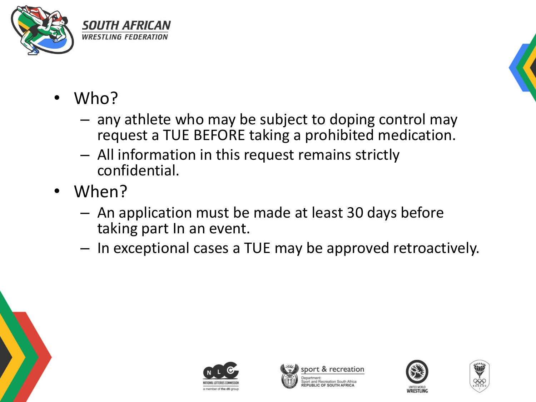



- Who?
	- any athlete who may be subject to doping control may request a TUE BEFORE taking a prohibited medication.
	- All information in this request remains strictly confidential.
- When?
	- An application must be made at least 30 days before taking part In an event.
	- In exceptional cases a TUE may be approved retroactively.







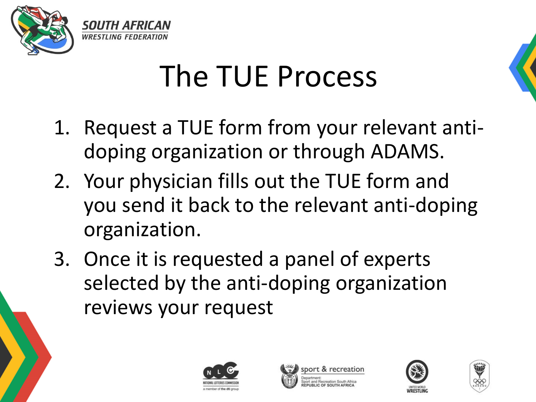

#### The TUE Process



- 1. Request a TUE form from your relevant antidoping organization or through ADAMS.
- 2. Your physician fills out the TUE form and you send it back to the relevant anti-doping organization.
- 3. Once it is requested a panel of experts selected by the anti-doping organization reviews your request







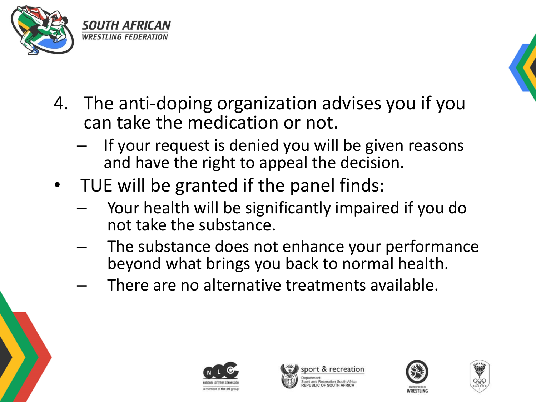



- 4. The anti-doping organization advises you if you can take the medication or not.
	- If your request is denied you will be given reasons and have the right to appeal the decision.
- TUE will be granted if the panel finds:
	- Your health will be significantly impaired if you do not take the substance.
	- The substance does not enhance your performance beyond what brings you back to normal health.
	- There are no alternative treatments available.







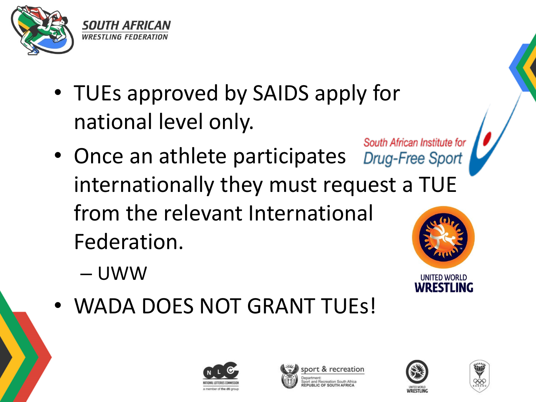

- TUEs approved by SAIDS apply for national level only.
- South African Institute for • Once an athlete participates Drug-Free Sport internationally they must request a TUE from the relevant International Federation.
	- UWW
- **UNITED WORLD** WRFSTI ING
- WADA DOES NOT GRANT TUEs!







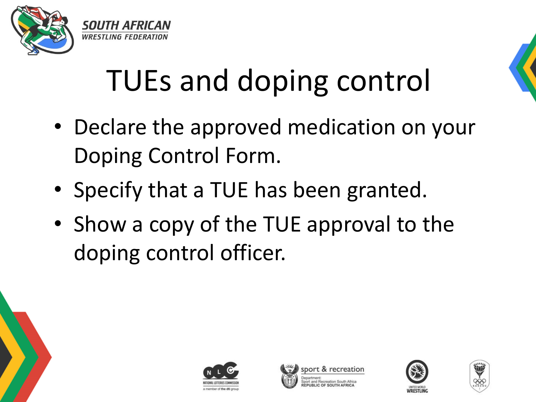



#### TUEs and doping control

- Declare the approved medication on your Doping Control Form.
- Specify that a TUE has been granted.
- Show a copy of the TUE approval to the doping control officer.







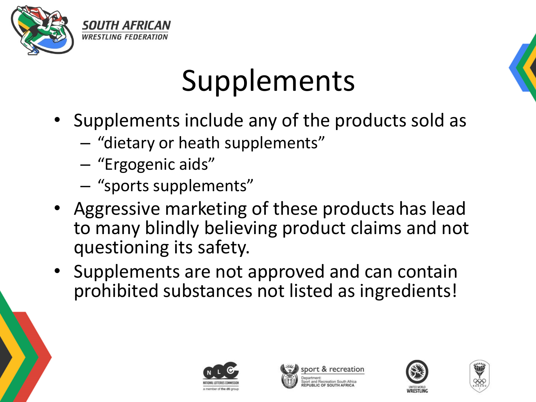

#### Supplements

- Supplements include any of the products sold as
	- "dietary or heath supplements"
	- "Ergogenic aids"
	- "sports supplements"
- Aggressive marketing of these products has lead to many blindly believing product claims and not questioning its safety.
- Supplements are not approved and can contain prohibited substances not listed as ingredients!







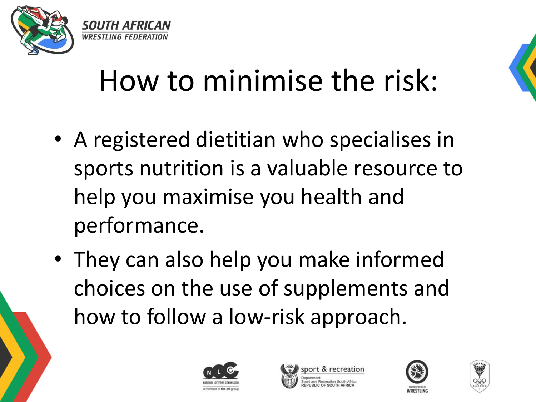

#### How to minimise the risk:

- A registered dietitian who specialises in sports nutrition is a valuable resource to help you maximise you health and performance.
- They can also help you make informed choices on the use of supplements and how to follow a low-risk approach.







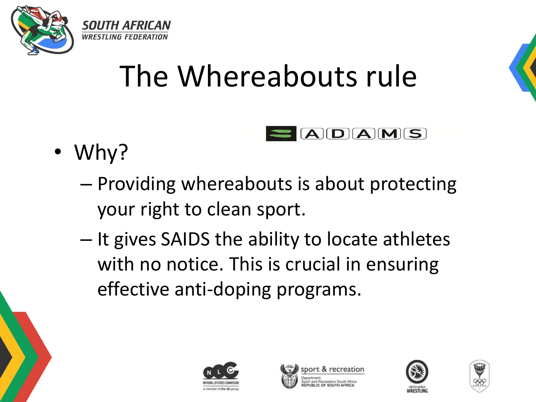

#### The Whereabouts rule

- Why?
	- Providing whereabouts is about protecting your right to clean sport.
	- It gives SAIDS the ability to locate athletes with no notice. This is crucial in ensuring effective anti-doping programs.





 $A$  $D$  $A$  $M$  $S$ 



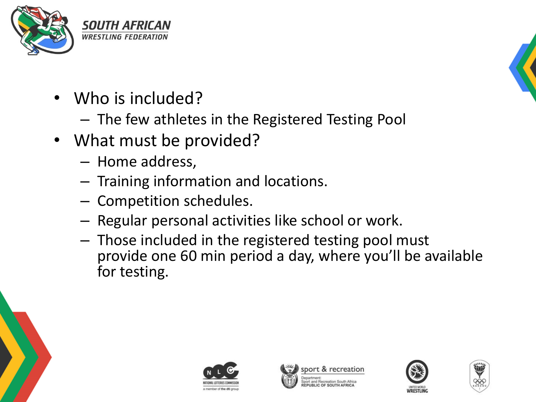

- Who is included?
	- The few athletes in the Registered Testing Pool
- What must be provided?
	- Home address,
	- Training information and locations.
	- Competition schedules.
	- Regular personal activities like school or work.
	- Those included in the registered testing pool must provide one 60 min period a day, where you'll be available for testing.